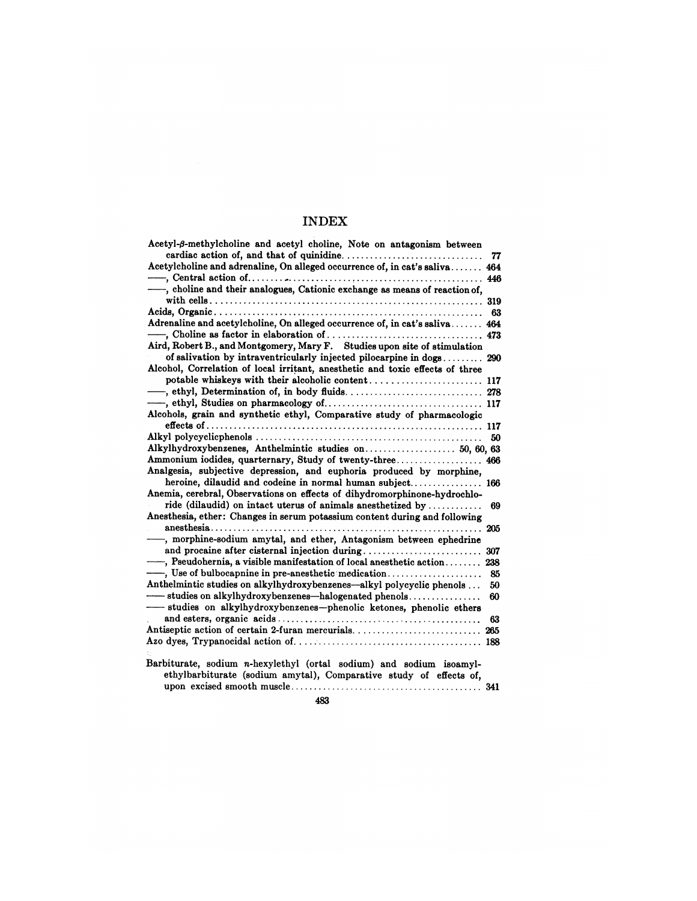| Acetyl- $\beta$ -methylcholine and acetyl choline, Note on antagonism between |     |
|-------------------------------------------------------------------------------|-----|
|                                                                               | 77  |
| Acetylcholine and adrenaline, On alleged occurrence of, in cat's saliva 464   |     |
|                                                                               |     |
| -, choline and their analogues, Cationic exchange as means of reaction of,    |     |
|                                                                               |     |
|                                                                               | 63  |
| Adrenaline and acetylcholine, On alleged occurrence of, in cat's saliva 464   |     |
|                                                                               |     |
| Aird, Robert B., and Montgomery, Mary F. Studies upon site of stimulation     |     |
| of salivation by intraventricularly injected pilocarpine in dogs 290          |     |
| Alcohol, Correlation of local irritant, anesthetic and toxic effects of three |     |
|                                                                               |     |
|                                                                               |     |
|                                                                               |     |
| Alcohols, grain and synthetic ethyl, Comparative study of pharmacologic       |     |
|                                                                               |     |
|                                                                               | 50  |
|                                                                               |     |
|                                                                               |     |
| Analgesia, subjective depression, and euphoria produced by morphine,          |     |
| heroine, dilaudid and codeine in normal human subject 166                     |     |
| Anemia, cerebral, Observations on effects of dihydromorphinone-hydrochlo-     |     |
| ride (dilaudid) on intact uterus of animals anesthetized by                   | 69  |
| Anesthesia, ether: Changes in serum potassium content during and following    |     |
|                                                                               |     |
| -, morphine-sodium amytal, and ether, Antagonism between ephedrine            |     |
|                                                                               | 307 |
| $-$ , Pseudohernia, a visible manifestation of local anesthetic action        | 238 |
|                                                                               | 85  |
| Anthelmintic studies on alkylhydroxybenzenes—alkyl polycyclic phenols         | 50  |
| studies on alkylhydroxybenzenes—halogenated phenols                           | 60  |
| -studies on alkylhydroxybenzenes-phenolic ketones, phenolic ethers            |     |
|                                                                               | 63  |
|                                                                               |     |
|                                                                               |     |
|                                                                               |     |
| Barbiturate, sodium n-hexylethyl (ortal sodium) and sodium isoamyl-           |     |
| ethylbarbiturate (sodium amytal), Comparative study of effects of,            |     |
|                                                                               |     |

483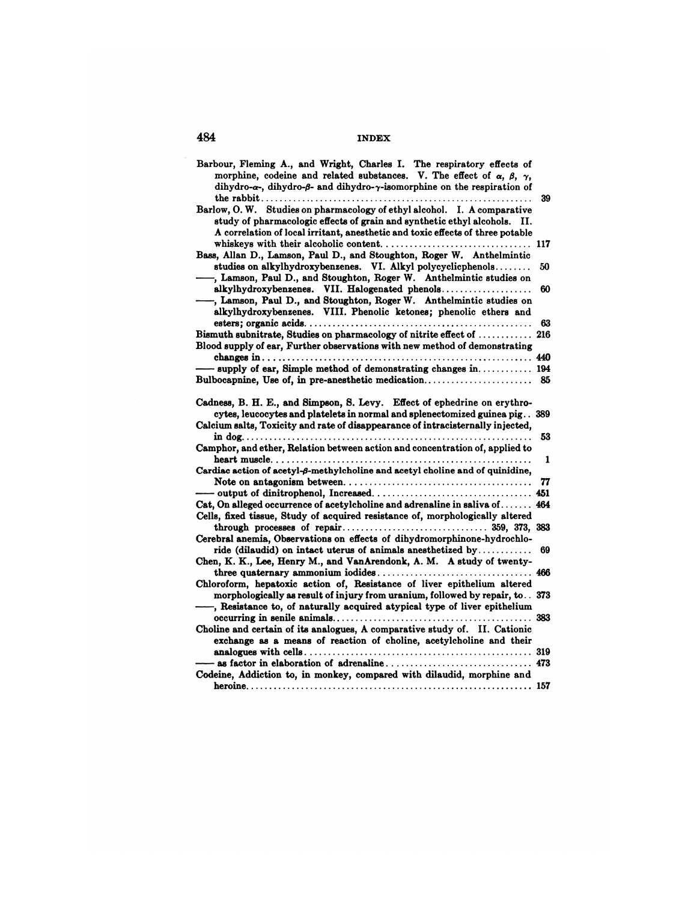| Barbour, Fleming A., and Wright, Charles I. The respiratory effects of<br>morphine, codeine and related substances. V. The effect of $\alpha$ , $\beta$ , $\gamma$ ,<br>dihydro-a-, dihydro-ß- and dihydro-y-isomorphine on the respiration of |         |
|------------------------------------------------------------------------------------------------------------------------------------------------------------------------------------------------------------------------------------------------|---------|
| Barlow, O. W. Studies on pharmacology of ethyl alcohol. I. A comparative<br>study of pharmacologic effects of grain and synthetic ethyl alcohols. II.<br>A correlation of local irritant, anesthetic and toxic effects of three potable        | 39      |
| Bass, Allan D., Lamson, Paul D., and Stoughton, Roger W. Anthelmintic                                                                                                                                                                          |         |
| studies on alkylhydroxybenzenes. VI. Alkyl polycyclicphenols<br>-, Lamson, Paul D., and Stoughton, Roger W. Anthelmintic studies on                                                                                                            | 50      |
| alkylhydroxybenzenes. VII. Halogenated phenols<br>-, Lamson, Paul D., and Stoughton, Roger W. Anthelmintic studies on<br>alkylhydroxybenzenes. VIII. Phenolic ketones; phenolic ethers and                                                     | 60      |
|                                                                                                                                                                                                                                                | 63      |
| Bismuth subnitrate, Studies on pharmacology of nitrite effect of  216<br>Blood supply of ear, Further observations with new method of demonstrating                                                                                            |         |
|                                                                                                                                                                                                                                                |         |
| supply of ear, Simple method of demonstrating changes in 194                                                                                                                                                                                   |         |
|                                                                                                                                                                                                                                                |         |
| Cadness, B. H. E., and Simpson, S. Levy. Effect of ephedrine on erythro-<br>cytes, leucocytes and platelets in normal and splenectomized guinea pig 389<br>Calcium salts, Toxicity and rate of disappearance of intracisternally injected,     |         |
| Camphor, and ether, Relation between action and concentration of, applied to                                                                                                                                                                   | 53<br>1 |
| Cardiac action of acetyl- $\beta$ -methylcholine and acetyl choline and of quinidine,                                                                                                                                                          |         |
|                                                                                                                                                                                                                                                | 77      |
| Cat, On alleged occurrence of acetylcholine and adrenaline in saliva of 464                                                                                                                                                                    |         |
| Cells, fixed tissue, Study of acquired resistance of, morphologically altered                                                                                                                                                                  |         |
| Cerebral anemia, Observations on effects of dihydromorphinone-hydrochlo-                                                                                                                                                                       |         |
| ride (dilaudid) on intact uterus of animals anesthetized by<br>Chen, K. K., Lee, Henry M., and VanArendonk, A. M. A study of twenty-                                                                                                           | 69      |
| Chloroform, hepatoxic action of, Resistance of liver epithelium altered                                                                                                                                                                        |         |
| morphologically as result of injury from uranium, followed by repair, to. . 373<br>-, Resistance to, of naturally acquired atypical type of liver epithelium                                                                                   |         |
| Choline and certain of its analogues, A comparative study of. II. Cationic<br>exchange as a means of reaction of choline, acetylcholine and their                                                                                              |         |
|                                                                                                                                                                                                                                                |         |
|                                                                                                                                                                                                                                                |         |
| Codeine, Addiction to, in monkey, compared with dilaudid, morphine and                                                                                                                                                                         |         |
|                                                                                                                                                                                                                                                |         |
|                                                                                                                                                                                                                                                |         |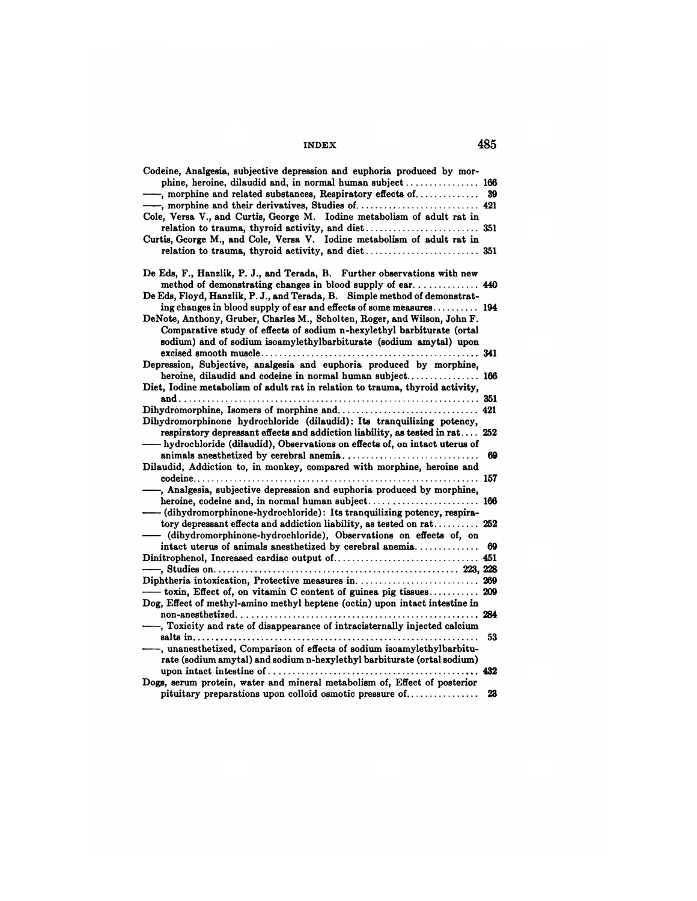| Codeine, Analgesia, subjective depression and euphoria produced by mor-<br>phine, heroine, dilaudid and, in normal human subject  166 |     |
|---------------------------------------------------------------------------------------------------------------------------------------|-----|
| -, morphine and related substances, Respiratory effects of                                                                            | 39  |
|                                                                                                                                       |     |
| Cole, Versa V., and Curtis, George M. Iodine metabolism of adult rat in                                                               |     |
|                                                                                                                                       |     |
| Curtis, George M., and Cole, Versa V. Iodine metabolism of adult rat in                                                               |     |
|                                                                                                                                       |     |
|                                                                                                                                       |     |
| De Eds, F., Hanzlik, P. J., and Terada, B. Further observations with new                                                              |     |
|                                                                                                                                       |     |
| method of demonstrating changes in blood supply of ear 440                                                                            |     |
| De Eds, Floyd, Hanzlik, P. J., and Terada, B. Simple method of demonstrat-                                                            |     |
| ing changes in blood supply of ear and effects of some measures 194                                                                   |     |
| DeNote, Anthony, Gruber, Charles M., Scholten, Roger, and Wilson, John F.                                                             |     |
| Comparative study of effects of sodium n-hexylethyl barbiturate (ortal                                                                |     |
| sodium) and of sodium isoamylethylbarbiturate (sodium amytal) upon                                                                    |     |
|                                                                                                                                       |     |
| Depression, Subjective, analgesia and euphoria produced by morphine,                                                                  |     |
| heroine, dilaudid and codeine in normal human subject 166                                                                             |     |
| Diet, Iodine metabolism of adult rat in relation to trauma, thyroid activity,                                                         |     |
|                                                                                                                                       |     |
|                                                                                                                                       |     |
|                                                                                                                                       |     |
| Dihydromorphinone hydrochloride (dilaudid): Its tranquilizing potency,                                                                |     |
| respiratory depressant effects and addiction liability, as tested in rat 252                                                          |     |
| - hydrochloride (dilaudid), Observations on effects of, on intact uterus of                                                           |     |
|                                                                                                                                       | 69  |
| Dilaudid, Addiction to, in monkey, compared with morphine, heroine and                                                                |     |
|                                                                                                                                       |     |
| -, Analgesia, subjective depression and euphoria produced by morphine,                                                                |     |
|                                                                                                                                       |     |
| - (dihydromorphinone-hydrochloride): Its tranquilizing potency, respira-                                                              |     |
| tory depressant effects and addiction liability, as tested on rat                                                                     | 252 |
| (dihydromorphinone-hydrochloride), Observations on effects of, on                                                                     |     |
| intact uterus of animals anesthetized by cerebral anemia                                                                              | 69  |
|                                                                                                                                       |     |
|                                                                                                                                       |     |
|                                                                                                                                       |     |
| Diphtheria intoxication, Protective measures in 269                                                                                   |     |
| - toxin, Effect of, on vitamin C content of guinea pig tissues                                                                        | 209 |
| Dog, Effect of methyl-amino methyl heptene (octin) upon intact intestine in                                                           |     |
|                                                                                                                                       |     |
| -, Toxicity and rate of disappearance of intracisternally injected calcium                                                            |     |
|                                                                                                                                       | 53  |
| -, unanesthetized, Comparison of effects of sodium isoamylethylbarbitu-                                                               |     |
| rate (sodium amytal) and sodium n-hexylethyl barbiturate (ortal sodium)                                                               |     |
|                                                                                                                                       |     |
| Dogs, serum protein, water and mineral metabolism of, Effect of posterior                                                             |     |
| pituitary preparations upon colloid osmotic pressure of                                                                               | 23  |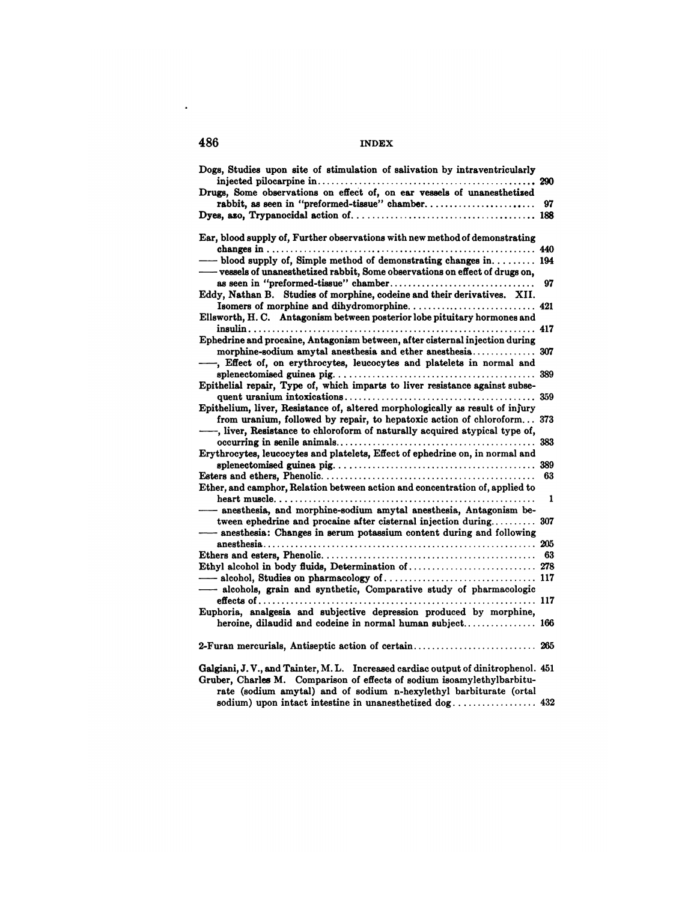|--|

| 486 | <b>INDEX</b>                                                                                                                                        |    |
|-----|-----------------------------------------------------------------------------------------------------------------------------------------------------|----|
|     | Dogs, Studies upon site of stimulation of salivation by intraventricularly                                                                          |    |
|     |                                                                                                                                                     |    |
|     | Drugs. Some observations on effect of, on ear vessels of unanesthetized                                                                             |    |
|     |                                                                                                                                                     | 97 |
|     |                                                                                                                                                     |    |
|     | Ear, blood supply of, Further observations with new method of demonstrating                                                                         |    |
|     |                                                                                                                                                     |    |
|     | $-$ blood supply of, Simple method of demonstrating changes in 194<br>—— vessels of unanesthetized rabbit, Some observations on effect of drugs on, |    |
|     |                                                                                                                                                     | 97 |
|     | Eddy, Nathan B. Studies of morphine, codeine and their derivatives. XII.                                                                            |    |
|     |                                                                                                                                                     |    |
|     | Ellsworth, H. C. Antagonism between posterior lobe pituitary hormones and                                                                           |    |
|     |                                                                                                                                                     |    |
|     | Ephedrine and procaine, Antagonism between, after cisternal injection during                                                                        |    |
|     |                                                                                                                                                     |    |
|     | -, Effect of, on erythrocytes, leucocytes and platelets in normal and                                                                               |    |
|     |                                                                                                                                                     |    |
|     | Epithelial repair, Type of, which imparts to liver resistance against subse-                                                                        |    |
|     |                                                                                                                                                     |    |
|     | Epithelium, liver, Resistance of, altered morphologically as result of injury                                                                       |    |
|     | from uranium, followed by repair, to hepatoxic action of chloroform 373                                                                             |    |
|     | -, liver, Resistance to chloroform of naturally acquired atypical type of,                                                                          |    |
|     |                                                                                                                                                     |    |
|     | Erythrocytes, leucocytes and platelets, Effect of ephedrine on, in normal and                                                                       |    |
|     |                                                                                                                                                     |    |
|     |                                                                                                                                                     | 63 |
|     | Ether, and camphor, Relation between action and concentration of, applied to                                                                        |    |
|     |                                                                                                                                                     |    |
|     | - anesthesia, and morphine-sodium amytal anesthesia, Antagonism be-                                                                                 |    |
|     | tween ephedrine and procaine after cisternal injection during 307                                                                                   |    |
|     | - anesthesia: Changes in serum potassium content during and following                                                                               |    |
|     |                                                                                                                                                     |    |
|     |                                                                                                                                                     |    |
|     |                                                                                                                                                     |    |
|     | -alcohols, grain and synthetic, Comparative study of pharmacologic                                                                                  |    |
|     |                                                                                                                                                     |    |
|     | Euphoria, analgesia and subjective depression produced by morphine,                                                                                 |    |
|     | heroine, dilaudid and codeine in normal human subject 166                                                                                           |    |
|     |                                                                                                                                                     |    |
|     | Galgiani, J.V., and Tainter, M.L. Increased cardiac output of dinitrophenol. 451                                                                    |    |
|     | Gruber, Charles M. Comparison of effects of sodium isoamylethylbarbitu-<br>rate (sodium amytal) and of sodium n-hexylethyl barbiturate (ortal       |    |
|     |                                                                                                                                                     |    |

 $\label{eq:2.1} \frac{1}{\sqrt{2}}\int_{\mathbb{R}^3}\frac{1}{\sqrt{2}}\left(\frac{1}{\sqrt{2}}\right)^2\left(\frac{1}{\sqrt{2}}\right)^2\left(\frac{1}{\sqrt{2}}\right)^2\left(\frac{1}{\sqrt{2}}\right)^2\left(\frac{1}{\sqrt{2}}\right)^2\left(\frac{1}{\sqrt{2}}\right)^2\left(\frac{1}{\sqrt{2}}\right)^2\left(\frac{1}{\sqrt{2}}\right)^2\left(\frac{1}{\sqrt{2}}\right)^2\left(\frac{1}{\sqrt{2}}\right)^2\left(\frac{1}{\sqrt{2}}\right)^2\left(\frac$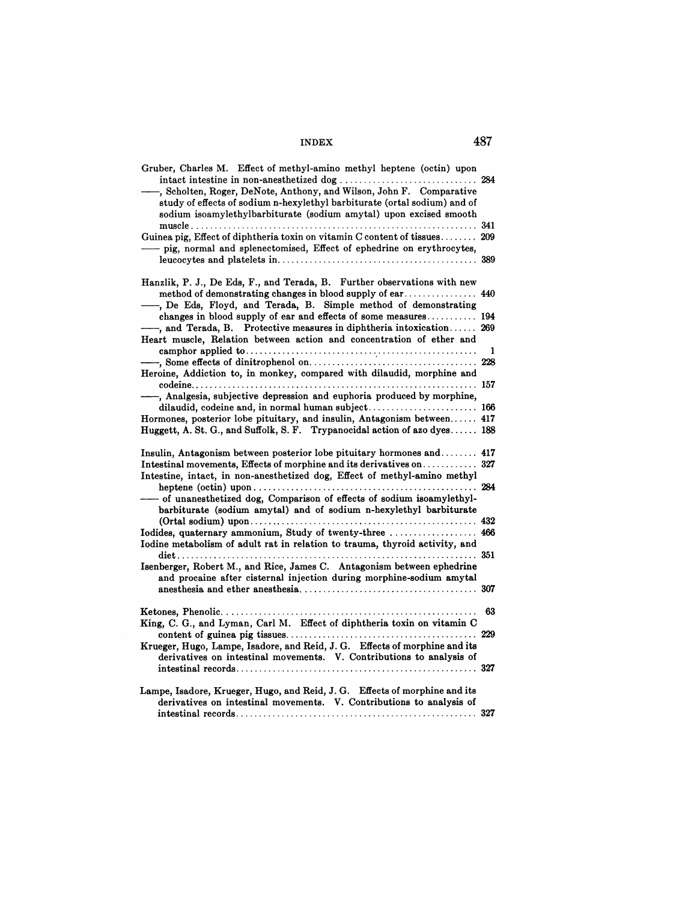| Gruber, Charles M. Effect of methyl-amino methyl heptene (octin) upon<br>, Scholten, Roger, DeNote, Anthony, and Wilson, John F. Comparative<br>study of effects of sodium n-hexylethyl barbiturate (ortal sodium) and of<br>sodium isoamylethylbarbiturate (sodium amytal) upon excised smooth |     |
|-------------------------------------------------------------------------------------------------------------------------------------------------------------------------------------------------------------------------------------------------------------------------------------------------|-----|
| Guinea pig, Effect of diphtheria toxin on vitamin C content of tissues 209<br>pig, normal and splenectomised, Effect of ephedrine on erythrocytes,                                                                                                                                              |     |
| Hanzlik, P. J., De Eds, F., and Terada, B. Further observations with new<br>-, De Eds, Floyd, and Terada, B. Simple method of demonstrating<br>changes in blood supply of ear and effects of some measures 194                                                                                  |     |
| -, and Terada, B. Protective measures in diphtheria intoxication 269<br>Heart muscle, Relation between action and concentration of ether and                                                                                                                                                    | 1   |
| Heroine, Addiction to, in monkey, compared with dilaudid, morphine and                                                                                                                                                                                                                          |     |
| -, Analgesia, subjective depression and euphoria produced by morphine,<br>dilaudid, codeine and, in normal human subject 166<br>Hormones, posterior lobe pituitary, and insulin, Antagonism between 417                                                                                         |     |
| Huggett, A. St. G., and Suffolk, S. F. Trypanocidal action of azo dyes 188<br>Insulin, Antagonism between posterior lobe pituitary hormones and  417                                                                                                                                            |     |
| Intestinal movements, Effects of morphine and its derivatives on 327<br>Intestine, intact, in non-anesthetized dog, Effect of methyl-amino methyl                                                                                                                                               |     |
| - of unanesthetized dog, Comparison of effects of sodium isoamylethyl-<br>barbiturate (sodium amytal) and of sodium n-hexylethyl barbiturate                                                                                                                                                    |     |
| Iodides, quaternary ammonium, Study of twenty-three<br>Iodine metabolism of adult rat in relation to trauma, thyroid activity, and                                                                                                                                                              | 466 |
| Isenberger, Robert M., and Rice, James C. Antagonism between ephedrine<br>and procaine after cisternal injection during morphine-sodium amytal                                                                                                                                                  |     |
| King, C. G., and Lyman, Carl M. Effect of diphtheria toxin on vitamin C                                                                                                                                                                                                                         | 63  |
| Krueger, Hugo, Lampe, Isadore, and Reid, J. G. Effects of morphine and its<br>derivatives on intestinal movements. V. Contributions to analysis of                                                                                                                                              |     |
| Lampe, Isadore, Krueger, Hugo, and Reid, J. G. Effects of morphine and its<br>derivatives on intestinal movements. V. Contributions to analysis of                                                                                                                                              |     |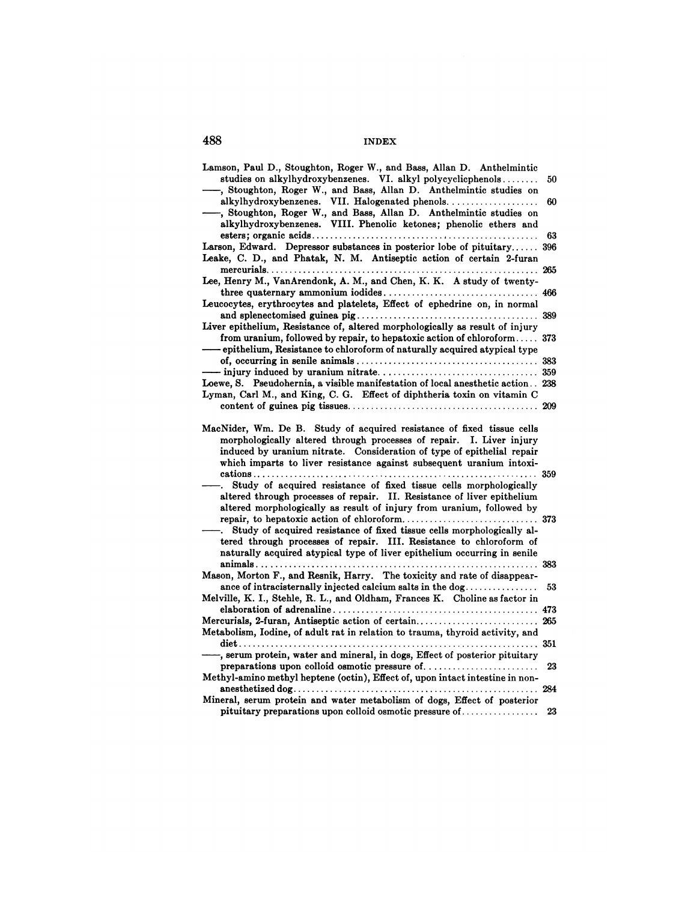| Lamson, Paul D., Stoughton, Roger W., and Bass, Allan D. Anthelmintic                                                                                                                                                                                                                            |     |
|--------------------------------------------------------------------------------------------------------------------------------------------------------------------------------------------------------------------------------------------------------------------------------------------------|-----|
| studies on alkylhydroxybenzenes. VI. alkyl polycyclicphenols                                                                                                                                                                                                                                     | 50  |
| -, Stoughton, Roger W., and Bass, Allan D. Anthelmintic studies on<br>alkylhydroxybenzenes. VII. Halogenated phenols                                                                                                                                                                             | 60  |
| -, Stoughton, Roger W., and Bass, Allan D. Anthelmintic studies on                                                                                                                                                                                                                               |     |
| alkylhydroxybenzenes. VIII. Phenolic ketones; phenolic ethers and                                                                                                                                                                                                                                |     |
|                                                                                                                                                                                                                                                                                                  | 63  |
| Larson, Edward. Depressor substances in posterior lobe of pituitary                                                                                                                                                                                                                              | 396 |
| Leake, C. D., and Phatak, N. M. Antiseptic action of certain 2-furan                                                                                                                                                                                                                             |     |
|                                                                                                                                                                                                                                                                                                  |     |
| Lee, Henry M., VanArendonk, A. M., and Chen, K. K. A study of twenty-                                                                                                                                                                                                                            |     |
|                                                                                                                                                                                                                                                                                                  |     |
| Leucocytes, erythrocytes and platelets, Effect of ephedrine on, in normal                                                                                                                                                                                                                        |     |
| Liver epithelium, Resistance of, altered morphologically as result of injury                                                                                                                                                                                                                     |     |
| from uranium, followed by repair, to hepatoxic action of chloroform 373                                                                                                                                                                                                                          |     |
| - epithelium, Resistance to chloroform of naturally acquired atypical type                                                                                                                                                                                                                       |     |
|                                                                                                                                                                                                                                                                                                  |     |
|                                                                                                                                                                                                                                                                                                  |     |
| Loewe, S. Pseudohernia, a visible manifestation of local anesthetic action. 238                                                                                                                                                                                                                  |     |
| Lyman, Carl M., and King, C. G. Effect of diphtheria toxin on vitamin C                                                                                                                                                                                                                          |     |
|                                                                                                                                                                                                                                                                                                  |     |
| MacNider, Wm. De B. Study of acquired resistance of fixed tissue cells<br>morphologically altered through processes of repair. I. Liver injury<br>induced by uranium nitrate. Consideration of type of epithelial repair<br>which imparts to liver resistance against subsequent uranium intoxi- |     |
| Study of acquired resistance of fixed tissue cells morphologically                                                                                                                                                                                                                               |     |
| altered through processes of repair. II. Resistance of liver epithelium                                                                                                                                                                                                                          |     |
| altered morphologically as result of injury from uranium, followed by                                                                                                                                                                                                                            |     |
| Study of acquired resistance of fixed tissue cells morphologically al-                                                                                                                                                                                                                           |     |
| tered through processes of repair. III. Resistance to chloroform of                                                                                                                                                                                                                              |     |
| naturally acquired atypical type of liver epithelium occurring in senile                                                                                                                                                                                                                         |     |
|                                                                                                                                                                                                                                                                                                  |     |
| Mason, Morton F., and Resnik, Harry. The toxicity and rate of disappear-                                                                                                                                                                                                                         |     |
| ance of intracisternally injected calcium salts in the dog                                                                                                                                                                                                                                       | 53  |
| Melville, K. I., Stehle, R. L., and Oldham, Frances K. Choline as factor in                                                                                                                                                                                                                      |     |
|                                                                                                                                                                                                                                                                                                  |     |
|                                                                                                                                                                                                                                                                                                  |     |
| Metabolism, Iodine, of adult rat in relation to trauma, thyroid activity, and                                                                                                                                                                                                                    |     |
| -, serum protein, water and mineral, in dogs, Effect of posterior pituitary                                                                                                                                                                                                                      |     |
|                                                                                                                                                                                                                                                                                                  | 23  |
| Methyl-amino methyl heptene (octin), Effect of, upon intact intestine in non-                                                                                                                                                                                                                    |     |
|                                                                                                                                                                                                                                                                                                  |     |
| Mineral, serum protein and water metabolism of dogs, Effect of posterior<br>pituitary preparations upon colloid osmotic pressure of                                                                                                                                                              | 23  |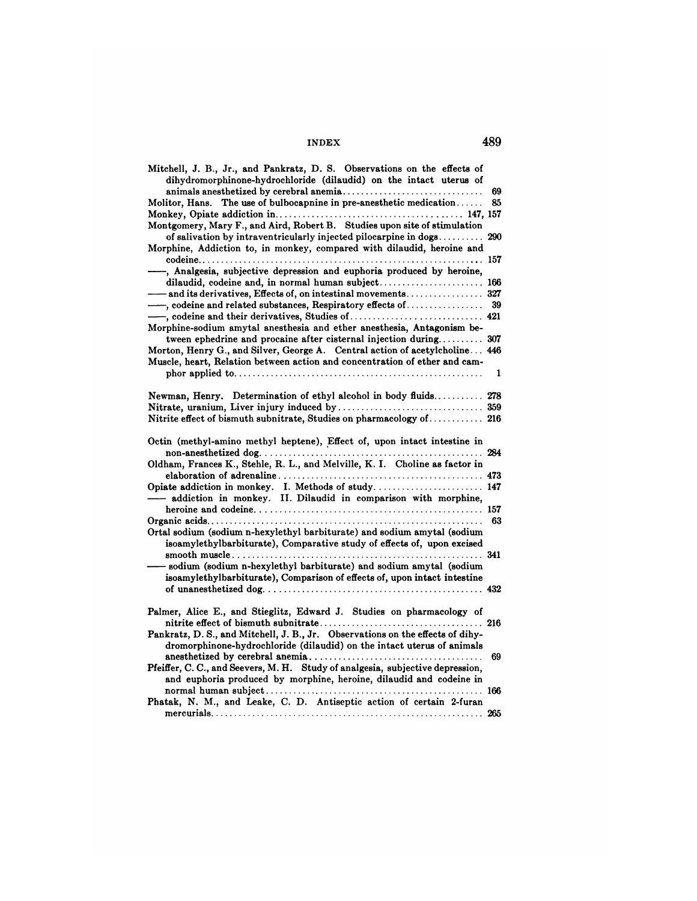| Mitchell, J. B., Jr., and Pankratz, D. S. Observations on the effects of<br>dihydromorphinone-hydrochloride (dilaudid) on the intact uterus of            |     |
|-----------------------------------------------------------------------------------------------------------------------------------------------------------|-----|
|                                                                                                                                                           | 69  |
| Molitor, Hans. The use of bulbocapnine in pre-anesthetic medication                                                                                       | 85  |
|                                                                                                                                                           |     |
| Montgomery, Mary F., and Aird, Robert B. Studies upon site of stimulation                                                                                 |     |
| of salivation by intraventricularly injected pilocarpine in dogs<br>Morphine, Addiction to, in monkey, compared with dilaudid, heroine and                | 290 |
| -, Analgesia, subjective depression and euphoria produced by heroine,                                                                                     |     |
| dilaudid, codeine and, in normal human subject 166                                                                                                        |     |
|                                                                                                                                                           |     |
| -, codeine and related substances, Respiratory effects of $\dots\dots\dots\dots\dots$                                                                     | 39  |
|                                                                                                                                                           |     |
| Morphine-sodium amytal anesthesia and ether anesthesia, Antagonism be-                                                                                    |     |
| tween ephedrine and procaine after cisternal injection during 307                                                                                         |     |
| Morton, Henry G., and Silver, George A. Central action of acetylcholine 446<br>Muscle, heart, Relation between action and concentration of ether and cam- |     |
|                                                                                                                                                           | 1   |
| Newman, Henry. Determination of ethyl alcohol in body fluids 278                                                                                          |     |
|                                                                                                                                                           |     |
| Nitrite effect of bismuth subnitrate, Studies on pharmacology of 216                                                                                      |     |
| Octin (methyl-amino methyl heptene), Effect of, upon intact intestine in                                                                                  |     |
| Oldham, Frances K., Stehle, R. L., and Melville, K. I. Choline as factor in                                                                               |     |
|                                                                                                                                                           |     |
| Opiate addiction in monkey. I. Methods of study.  147                                                                                                     |     |
| addiction in monkey. II. Dilaudid in comparison with morphine,                                                                                            |     |
|                                                                                                                                                           | 63  |
| Ortal sodium (sodium n-hexylethyl barbiturate) and sodium amytal (sodium<br>isoamylethylbarbiturate), Comparative study of effects of, upon excised       |     |
|                                                                                                                                                           |     |
| - sodium (sodium n-hexylethyl barbiturate) and sodium amytal (sodium<br>isoamylethylbarbiturate), Comparison of effects of, upon intact intestine         |     |
|                                                                                                                                                           |     |
| Palmer, Alice E., and Stieglitz, Edward J. Studies on pharmacology of                                                                                     |     |
| Pankratz, D.S., and Mitchell, J.B., Jr. Observations on the effects of dihy-<br>dromorphinone-hydrochloride (dilaudid) on the intact uterus of animals    |     |
| Pfeiffer, C. C., and Seevers, M. H. Study of analgesia, subjective depression,                                                                            | 69  |
| and euphoria produced by morphine, heroine, dilaudid and codeine in                                                                                       |     |
| Phatak, N. M., and Leake, C. D. Antiseptic action of certain 2-furan                                                                                      |     |
|                                                                                                                                                           |     |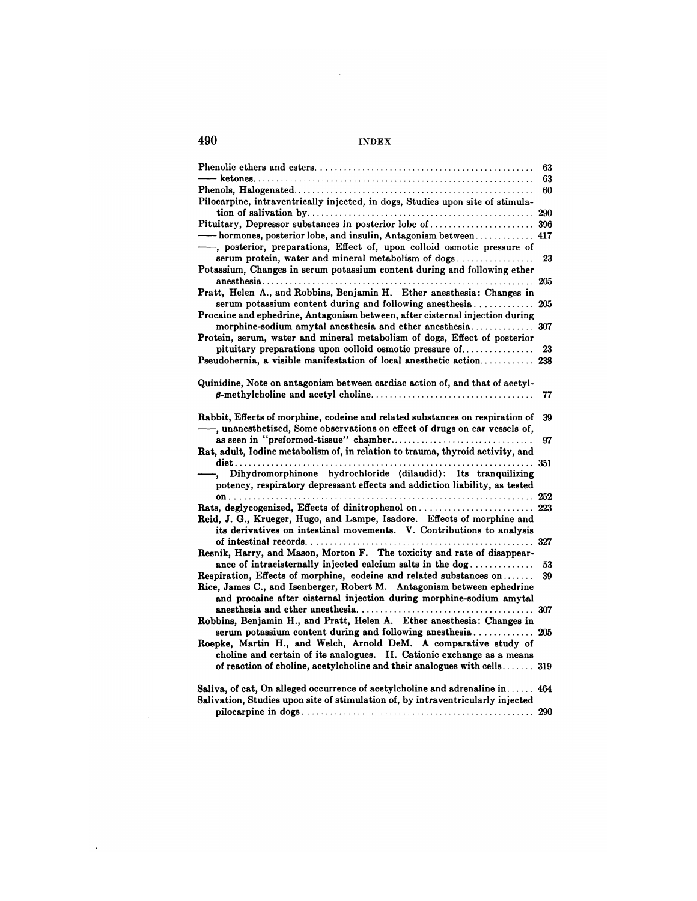$\mathcal{L}^{\text{max}}_{\text{max}}$  and  $\mathcal{L}^{\text{max}}_{\text{max}}$ 

|                                                                                                                                                                                                                       | 63  |
|-----------------------------------------------------------------------------------------------------------------------------------------------------------------------------------------------------------------------|-----|
|                                                                                                                                                                                                                       | 63  |
| Pilocarpine, intraventrically injected, in dogs, Studies upon site of stimula-                                                                                                                                        | 60  |
|                                                                                                                                                                                                                       | 290 |
|                                                                                                                                                                                                                       |     |
| - hormones, posterior lobe, and insulin, Antagonism between 417<br>-, posterior, preparations, Effect of, upon colloid osmotic pressure of                                                                            |     |
| serum protein, water and mineral metabolism of dogs<br>Potassium, Changes in serum potassium content during and following ether                                                                                       | 23  |
| Pratt, Helen A., and Robbins, Benjamin H. Ether anesthesia: Changes in                                                                                                                                                |     |
| $\gamma$ serum potassium content during and following anesthesia                                                                                                                                                      | 205 |
| Procaine and ephedrine, Antagonism between, after cisternal injection during                                                                                                                                          |     |
| Protein, serum, water and mineral metabolism of dogs, Effect of posterior                                                                                                                                             |     |
| pituitary preparations upon colloid osmotic pressure of                                                                                                                                                               | 23  |
| Pseudohernia, a visible manifestation of local anesthetic action 238                                                                                                                                                  |     |
| Quinidine, Note on antagonism between cardiac action of, and that of acetyl-                                                                                                                                          |     |
|                                                                                                                                                                                                                       | 77  |
| Rabbit, Effects of morphine, codeine and related substances on respiration of<br>-, unanesthetized, Some observations on effect of drugs on ear vessels of,                                                           | 39  |
|                                                                                                                                                                                                                       | 97  |
| Rat, adult, Iodine metabolism of, in relation to trauma, thyroid activity, and                                                                                                                                        |     |
| Dihydromorphinone hydrochloride (dilaudid): Its tranquilizing<br>potency, respiratory depressant effects and addiction liability, as tested                                                                           |     |
|                                                                                                                                                                                                                       |     |
|                                                                                                                                                                                                                       |     |
| Reid, J. G., Krueger, Hugo, and Lampe, Isadore. Effects of morphine and<br>its derivatives on intestinal movements. V. Contributions to analysis                                                                      |     |
|                                                                                                                                                                                                                       |     |
| Resnik, Harry, and Mason, Morton F. The toxicity and rate of disappear-<br>ance of intracisternally injected calcium salts in the dog                                                                                 |     |
|                                                                                                                                                                                                                       | 53  |
| Respiration, Effects of morphine, codeine and related substances on<br>Rice, James C., and Isenberger, Robert M. Antagonism between ephedrine<br>and procaine after cisternal injection during morphine-sodium amytal | 39  |
| Robbins, Benjamin H., and Pratt, Helen A. Ether anesthesia: Changes in                                                                                                                                                |     |
| serum potassium content during and following anesthesia<br>Roepke, Martin H., and Welch, Arnold DeM. A comparative study of<br>choline and certain of its analogues. II. Cationic exchange as a means                 | 205 |
| of reaction of choline, acetylcholine and their analogues with cells 319                                                                                                                                              |     |
| Saliva, of cat, On alleged occurrence of acetylcholine and adrenaline in $\dots$ . 464<br>Salivation, Studies upon site of stimulation of, by intraventricularly injected                                             |     |
|                                                                                                                                                                                                                       | 290 |

 $\Delta \sim 10^{11}$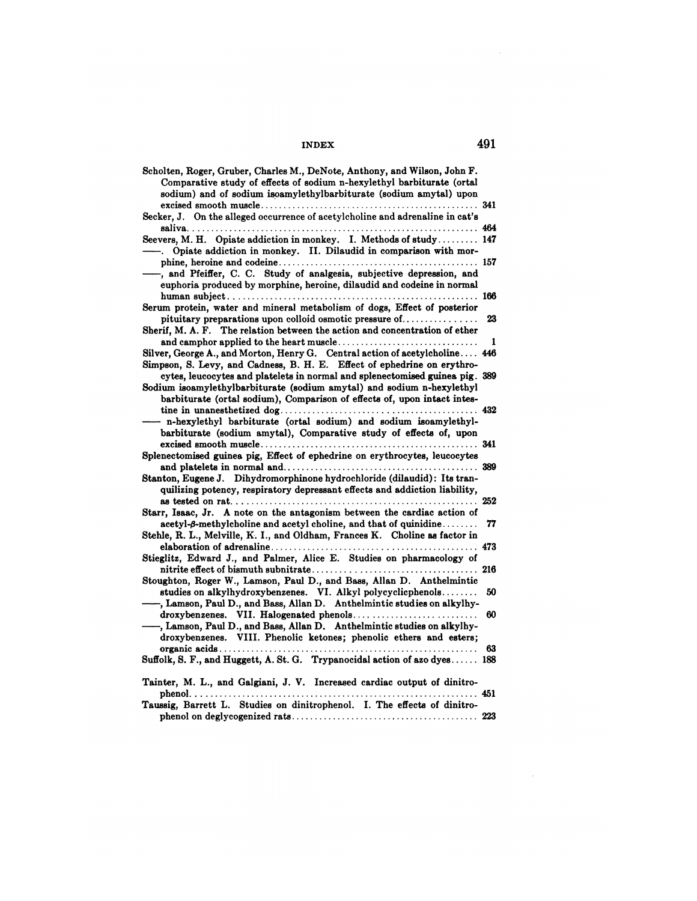| Scholten, Roger, Gruber, Charles M., DeNote, Anthony, and Wilson, John F.<br>Comparative study of effects of sodium n-hexylethyl barbiturate (ortal                         |    |
|-----------------------------------------------------------------------------------------------------------------------------------------------------------------------------|----|
| sodium) and of sodium isoamylethylbarbiturate (sodium amytal) upon                                                                                                          |    |
| Secker, J. On the alleged occurrence of acetylcholine and adrenaline in cat's                                                                                               |    |
|                                                                                                                                                                             |    |
| Seevers, M. H. Opiate addiction in monkey. I. Methods of study 147<br>Opiate addiction in monkey. II. Dilaudid in comparison with mor-                                      |    |
| -, and Pfeiffer, C. C. Study of analgesia, subjective depression, and<br>euphoria produced by morphine, heroine, dilaudid and codeine in normal                             |    |
|                                                                                                                                                                             |    |
| Serum protein, water and mineral metabolism of dogs, Effect of posterior<br>pituitary preparations upon colloid osmotic pressure of                                         | 23 |
| Sherif, M. A. F. The relation between the action and concentration of ether                                                                                                 | 1  |
| Silver, George A., and Morton, Henry G. Central action of acetylcholine 446                                                                                                 |    |
| Simpson, S. Levy, and Cadness, B. H. E. Effect of ephedrine on erythro-<br>cytes, leucocytes and platelets in normal and splenectomised guinea pig. 389                     |    |
| Sodium isoamylethylbarbiturate (sodium amytal) and sodium n-hexylethyl<br>barbiturate (ortal sodium), Comparison of effects of, upon intact intes-                          |    |
| n-hexylethyl barbiturate (ortal sodium) and sodium isoamylethyl-                                                                                                            |    |
| barbiturate (sodium amytal), Comparative study of effects of, upon                                                                                                          |    |
| Splenectomised guinea pig, Effect of ephedrine on erythrocytes, leucocytes                                                                                                  |    |
|                                                                                                                                                                             |    |
| Stanton, Eugene J. Dihydromorphinone hydrochloride (dilaudid): Its tran-<br>quilizing potency, respiratory depressant effects and addiction liability,                      |    |
| Starr, Isaac, Jr. A note on the antagonism between the cardiac action of                                                                                                    |    |
| $\textbf{acetyl-}\beta\text{-methylcholine and acetyl choline, and that of quintidine.\dots$<br>Stehle, R. L., Melville, K. I., and Oldham, Frances K. Choline as factor in | 77 |
|                                                                                                                                                                             |    |
| Stieglitz, Edward J., and Palmer, Alice E. Studies on pharmacology of                                                                                                       |    |
| Stoughton, Roger W., Lamson, Paul D., and Bass, Allan D. Anthelmintic                                                                                                       |    |
| studies on alkylhydroxybenzenes. VI. Alkyl polycyclicphenols<br>-, Lamson, Paul D., and Bass, Allan D. Anthelmintic studies on alkylhy-                                     | 50 |
| -, Lamson, Paul D., and Bass, Allan D. Anthelmintic studies on alkylhy-                                                                                                     | 60 |
| droxybenzenes. VIII. Phenolic ketones; phenolic ethers and esters;                                                                                                          | 63 |
| Suffolk, S. F., and Huggett, A. St. G. Trypanocidal action of azo dyes 188                                                                                                  |    |
| Tainter, M. L., and Galgiani, J. V. Increased cardiac output of dinitro-<br>phenol.<br>. 451                                                                                |    |
| Taussig, Barrett L. Studies on dinitrophenol. I. The effects of dinitro-                                                                                                    |    |
|                                                                                                                                                                             |    |

 $\mathcal{L}^{\text{max}}_{\text{max}}$ 

 $\sim 10$